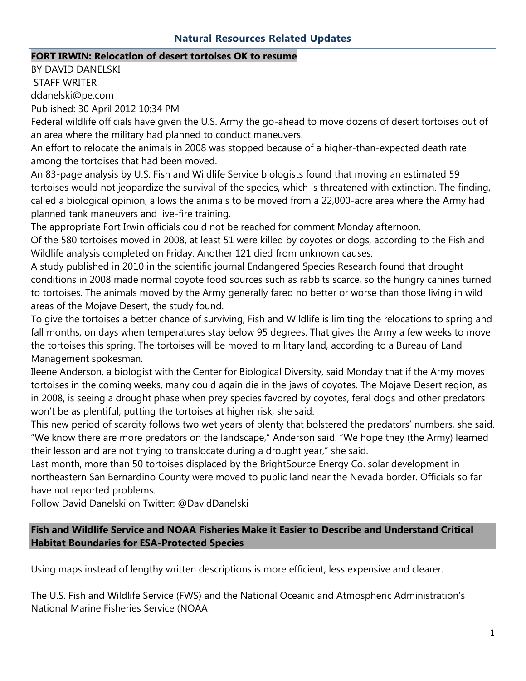#### **Natural Resources Related Updates**

#### **FORT IRWIN: Relocation of desert tortoises OK to resume**

BY DAVID DANELSKI STAFF WRITER [ddanelski@pe.com](mailto:ddanelski@pe.com)

Published: 30 April 2012 10:34 PM

Federal wildlife officials have given the U.S. Army the go-ahead to move dozens of desert tortoises out of an area where the military had planned to conduct maneuvers.

An effort to relocate the animals in 2008 was stopped because of a higher-than-expected death rate among the tortoises that had been moved.

An 83-page analysis by U.S. Fish and Wildlife Service biologists found that moving an estimated 59 tortoises would not jeopardize the survival of the species, which is threatened with extinction. The finding, called a biological opinion, allows the animals to be moved from a 22,000-acre area where the Army had planned tank maneuvers and live-fire training.

The appropriate Fort Irwin officials could not be reached for comment Monday afternoon.

Of the 580 tortoises moved in 2008, at least 51 were killed by coyotes or dogs, according to the Fish and Wildlife analysis completed on Friday. Another 121 died from unknown causes.

A study published in 2010 in the scientific journal Endangered Species Research found that drought conditions in 2008 made normal coyote food sources such as rabbits scarce, so the hungry canines turned to tortoises. The animals moved by the Army generally fared no better or worse than those living in wild areas of the Mojave Desert, the study found.

To give the tortoises a better chance of surviving, Fish and Wildlife is limiting the relocations to spring and fall months, on days when temperatures stay below 95 degrees. That gives the Army a few weeks to move the tortoises this spring. The tortoises will be moved to military land, according to a Bureau of Land Management spokesman.

Ileene Anderson, a biologist with the Center for Biological Diversity, said Monday that if the Army moves tortoises in the coming weeks, many could again die in the jaws of coyotes. The Mojave Desert region, as in 2008, is seeing a drought phase when prey species favored by coyotes, feral dogs and other predators won't be as plentiful, putting the tortoises at higher risk, she said.

This new period of scarcity follows two wet years of plenty that bolstered the predators' numbers, she said. "We know there are more predators on the landscape," Anderson said. "We hope they (the Army) learned their lesson and are not trying to translocate during a drought year," she said.

Last month, more than 50 tortoises displaced by the BrightSource Energy Co. solar development in northeastern San Bernardino County were moved to public land near the Nevada border. Officials so far have not reported problems.

Follow David Danelski on Twitter: @DavidDanelski

### **Fish and Wildlife Service and NOAA Fisheries Make it Easier to Describe and Understand Critical Habitat Boundaries for ESA-Protected Species**

Using maps instead of lengthy written descriptions is more efficient, less expensive and clearer.

The U.S. Fish and Wildlife Service (FWS) and the National Oceanic and Atmospheric Administration's National Marine Fisheries Service (NOAA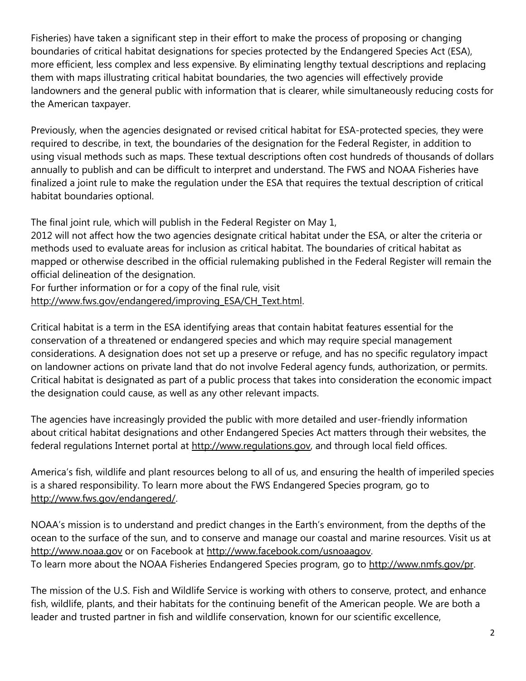Fisheries) have taken a significant step in their effort to make the process of proposing or changing boundaries of critical habitat designations for species protected by the Endangered Species Act (ESA), more efficient, less complex and less expensive. By eliminating lengthy textual descriptions and replacing them with maps illustrating critical habitat boundaries, the two agencies will effectively provide landowners and the general public with information that is clearer, while simultaneously reducing costs for the American taxpayer.

Previously, when the agencies designated or revised critical habitat for ESA-protected species, they were required to describe, in text, the boundaries of the designation for the Federal Register, in addition to using visual methods such as maps. These textual descriptions often cost hundreds of thousands of dollars annually to publish and can be difficult to interpret and understand. The FWS and NOAA Fisheries have finalized a joint rule to make the regulation under the ESA that requires the textual description of critical habitat boundaries optional.

The final joint rule, which will publish in the Federal Register on May 1,

2012 will not affect how the two agencies designate critical habitat under the ESA, or alter the criteria or methods used to evaluate areas for inclusion as critical habitat. The boundaries of critical habitat as mapped or otherwise described in the official rulemaking published in the Federal Register will remain the official delineation of the designation.

For further information or for a copy of the final rule, visit [http://www.fws.gov/endangered/improving\\_ESA/CH\\_Text.html.](http://www.fws.gov/endangered/improving_ESA/CH_Text.html)

Critical habitat is a term in the ESA identifying areas that contain habitat features essential for the conservation of a threatened or endangered species and which may require special management considerations. A designation does not set up a preserve or refuge, and has no specific regulatory impact on landowner actions on private land that do not involve Federal agency funds, authorization, or permits. Critical habitat is designated as part of a public process that takes into consideration the economic impact the designation could cause, as well as any other relevant impacts.

The agencies have increasingly provided the public with more detailed and user-friendly information about critical habitat designations and other Endangered Species Act matters through their websites, the federal regulations Internet portal at [http://www.regulations.gov,](http://www.regulations.gov/) and through local field offices.

America's fish, wildlife and plant resources belong to all of us, and ensuring the health of imperiled species is a shared responsibility. To learn more about the FWS Endangered Species program, go to [http://www.fws.gov/endangered/.](http://www.fws.gov/endangered/)

NOAA's mission is to understand and predict changes in the Earth's environment, from the depths of the ocean to the surface of the sun, and to conserve and manage our coastal and marine resources. Visit us at [http://www.noaa.gov](http://www.noaa.gov/) or on Facebook at [http://www.facebook.com/usnoaagov.](http://www.facebook.com/usnoaagov) To learn more about the NOAA Fisheries Endangered Species program, go to [http://www.nmfs.gov/pr.](http://www.nmfs.gov/pr)

The mission of the U.S. Fish and Wildlife Service is working with others to conserve, protect, and enhance fish, wildlife, plants, and their habitats for the continuing benefit of the American people. We are both a leader and trusted partner in fish and wildlife conservation, known for our scientific excellence,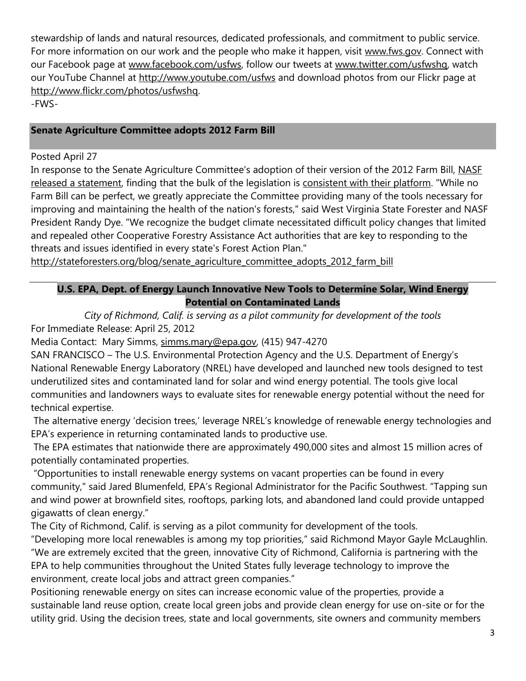stewardship of lands and natural resources, dedicated professionals, and commitment to public service. For more information on our work and the people who make it happen, visit [www.fws.gov.](http://www.fws.gov/) Connect with our Facebook page at [www.facebook.com/usfws,](http://www.facebook.com/usfws) follow our tweets at [www.twitter.com/usfwshq,](http://www.twitter.com/usfwshq) watch our YouTube Channel at<http://www.youtube.com/usfws> and download photos from our Flickr page at [http://www.flickr.com/photos/usfwshq.](http://www.flickr.com/photos/usfwshq) -FWS-

### **Senate Agriculture Committee adopts 2012 Farm Bill**

#### Posted April 27

In response to the Senate Agriculture Committee's adoption of their version of the 2012 Farm Bill, NASF [released a statement,](http://stateforesters.org/news_media/press_releases/senate_agriculture_committee_adopts_2012_farm_bill) finding that the bulk of the legislation is [consistent with their platform.](http://stateforesters.org/issues/issues_and_policy/forests_in_the_farm_bill) "While no Farm Bill can be perfect, we greatly appreciate the Committee providing many of the tools necessary for improving and maintaining the health of the nation's forests," said West Virginia State Forester and NASF President Randy Dye. "We recognize the budget climate necessitated difficult policy changes that limited and repealed other Cooperative Forestry Assistance Act authorities that are key to responding to the threats and issues identified in every state's Forest Action Plan."

[http://stateforesters.org/blog/senate\\_agriculture\\_committee\\_adopts\\_2012\\_farm\\_bill](http://stateforesters.org/blog/senate_agriculture_committee_adopts_2012_farm_bill)\_

## **U.S. EPA, Dept. of Energy Launch Innovative New Tools to Determine Solar, Wind Energy Potential on Contaminated Lands**

*City of Richmond, Calif. is serving as a pilot community for development of the tools* For Immediate Release: April 25, 2012

Media Contact: Mary Simms, [simms.mary@epa.gov,](mailto:simms.mary@epa.gov) (415) 947-4270

SAN FRANCISCO – The U.S. Environmental Protection Agency and the U.S. Department of Energy's National Renewable Energy Laboratory (NREL) have developed and launched new tools designed to test underutilized sites and contaminated land for solar and wind energy potential. The tools give local communities and landowners ways to evaluate sites for renewable energy potential without the need for technical expertise.

The alternative energy 'decision trees,' leverage NREL's knowledge of renewable energy technologies and EPA's experience in returning contaminated lands to productive use.

The EPA estimates that nationwide there are approximately 490,000 sites and almost 15 million acres of potentially contaminated properties.

"Opportunities to install renewable energy systems on vacant properties can be found in every community," said Jared Blumenfeld, EPA's Regional Administrator for the Pacific Southwest. "Tapping sun and wind power at brownfield sites, rooftops, parking lots, and abandoned land could provide untapped gigawatts of clean energy."

The City of Richmond, Calif. is serving as a pilot community for development of the tools.

"Developing more local renewables is among my top priorities," said Richmond Mayor Gayle McLaughlin. "We are extremely excited that the green, innovative City of Richmond, California is partnering with the EPA to help communities throughout the United States fully leverage technology to improve the environment, create local jobs and attract green companies."

Positioning renewable energy on sites can increase economic value of the properties, provide a sustainable land reuse option, create local green jobs and provide clean energy for use on-site or for the utility grid. Using the decision trees, state and local governments, site owners and community members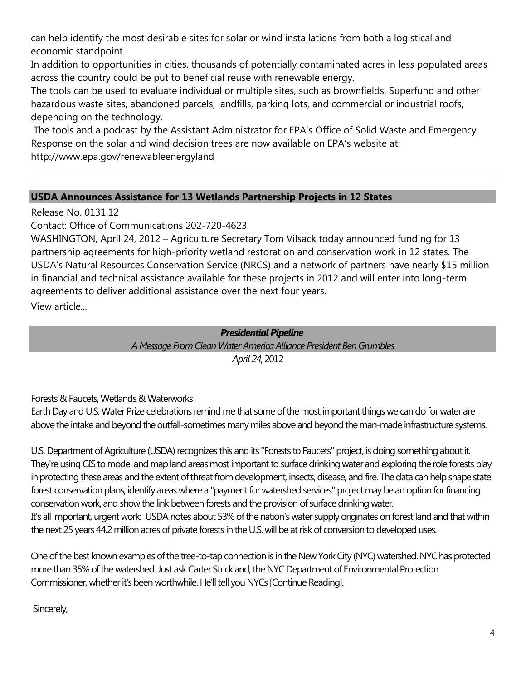can help identify the most desirable sites for solar or wind installations from both a logistical and economic standpoint.

In addition to opportunities in cities, thousands of potentially contaminated acres in less populated areas across the country could be put to beneficial reuse with renewable energy.

The tools can be used to evaluate individual or multiple sites, such as brownfields, Superfund and other hazardous waste sites, abandoned parcels, landfills, parking lots, and commercial or industrial roofs, depending on the technology.

The tools and a podcast by the Assistant Administrator for EPA's Office of Solid Waste and Emergency Response on the solar and wind decision trees are now available on EPA's website at: <http://www.epa.gov/renewableenergyland>

## **USDA Announces Assistance for 13 Wetlands Partnership Projects in 12 States**

Release No. 0131.12

Contact: Office of Communications 202-720-4623

WASHINGTON, April 24, 2012 – Agriculture Secretary Tom Vilsack today announced funding for 13 partnership agreements for high-priority wetland restoration and conservation work in 12 states. The USDA's Natural Resources Conservation Service (NRCS) and a network of partners have nearly \$15 million in financial and technical assistance available for these projects in 2012 and will enter into long-term agreements to deliver additional assistance over the next four years.

[View article...](http://www.usda.gov/wps/portal/usda/usdahome?contentid=2012/04/0131.xml&contentidonly=true)

## *Presidential Pipeline*

*A Message From Clean Water America Alliance President Ben Grumbles April 24*, 2012

Forests & Faucets, Wetlands & Waterworks

Earth Day and U.S. Water Prize celebrations remind me that some of the most important things we can do for water are above the intake and beyond the outfall-sometimes many miles above and beyond the man-made infrastructure systems.

U.S. Department of Agriculture (USDA) recognizes this and its "Forests to Faucets" project, is doing something about it. They're using GIS to model and map land areas most important to surface drinking water and exploring the role forests play in protecting these areas and the extent of threat from development, insects, disease, and fire. The data can help shape state forest conservation plans, identify areas where a "payment for watershed services" project may be an option for financing conservation work, and show the link between forests and the provision of surface drinking water. It's all important, urgent work: USDA notes about 53% of the nation's water supply originates on forest land and that within the next 25 years 44.2 million acres of private forests in the U.S. will be at risk of conversion to developed uses.

One of the best known examples of the tree-to-tap connection is in the New York City (NYC) watershed. NYC has protected more than 35% of the watershed. Just ask Carter Strickland, the NYC Department of Environmental Protection Commissioner, whether it's been worthwhile. He'll tell you NYCs [\[Continue Reading\]](http://r20.rs6.net/tn.jsp?e=001kS_v_JxDsq8fQcNZoPW9sAVzQFVZdNY7BGNK9oNhyVH55jlZL6DNo1ZAUkHzaT9vOrke0_6XrxTb7r0X7fV3sicA-03MmLl3NK2EIK5xbOpunhgy1ub7hY_AV8-RR9Tp8VXiI8-RidCr3G1-gkq98RaGHq7c-T67aw7K_yIW4-H1x6cOMGiekAXP92n9AQtWbUgopCjJ-d-WHM6tqbBqsf0fv_9d7c9BkhzScJijyp-lcS1GMNdhEY7llG9vQyOMK6MNW-fHuevzE2L1JGWJ2DMlCCnOyW7d85PTBAFkrchNlnUJArpLqB0vnUwVgg3tPkgJqHEpypRYlhZhcYvkq7WcAPfs-jo0nQi0M9yHRw4=).

# Sincerely,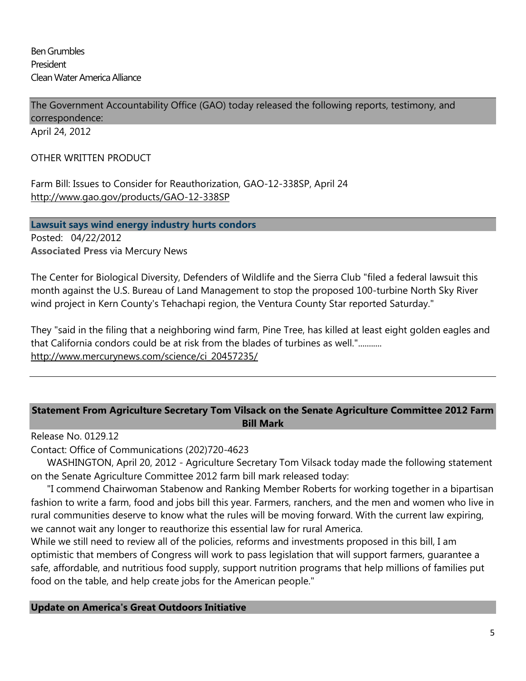Ben Grumbles President Clean Water America Alliance

The Government Accountability Office (GAO) today released the following reports, testimony, and correspondence:

April 24, 2012

#### OTHER WRITTEN PRODUCT

Farm Bill: Issues to Consider for Reauthorization, GAO-12-338SP, April 24 <http://www.gao.gov/products/GAO-12-338SP>

**Lawsuit says wind energy industry hurts condors** Posted: 04/22/2012 **Associated Press** via Mercury News

The Center for Biological Diversity, Defenders of Wildlife and the Sierra Club "filed a federal lawsuit this month against the U.S. Bureau of Land Management to stop the proposed 100-turbine North Sky River wind project in Kern County's Tehachapi region, the Ventura County Star reported Saturday."

They "said in the filing that a neighboring wind farm, Pine Tree, has killed at least eight golden eagles and that California condors could be at risk from the blades of turbines as well."........... [http://www.mercurynews.com/science/ci\\_20457235/](http://www.mercurynews.com/science/ci_20457235/)

### **Statement From Agriculture Secretary Tom Vilsack on the Senate Agriculture Committee 2012 Farm Bill Mark**

Release No. 0129.12

Contact: Office of Communications (202)720-4623

WASHINGTON, April 20, 2012 - Agriculture Secretary Tom Vilsack today made the following statement on the Senate Agriculture Committee 2012 farm bill mark released today:

"I commend Chairwoman Stabenow and Ranking Member Roberts for working together in a bipartisan fashion to write a farm, food and jobs bill this year. Farmers, ranchers, and the men and women who live in rural communities deserve to know what the rules will be moving forward. With the current law expiring, we cannot wait any longer to reauthorize this essential law for rural America.

While we still need to review all of the policies, reforms and investments proposed in this bill, I am optimistic that members of Congress will work to pass legislation that will support farmers, guarantee a safe, affordable, and nutritious food supply, support nutrition programs that help millions of families put food on the table, and help create jobs for the American people."

**Update on America's Great Outdoors Initiative**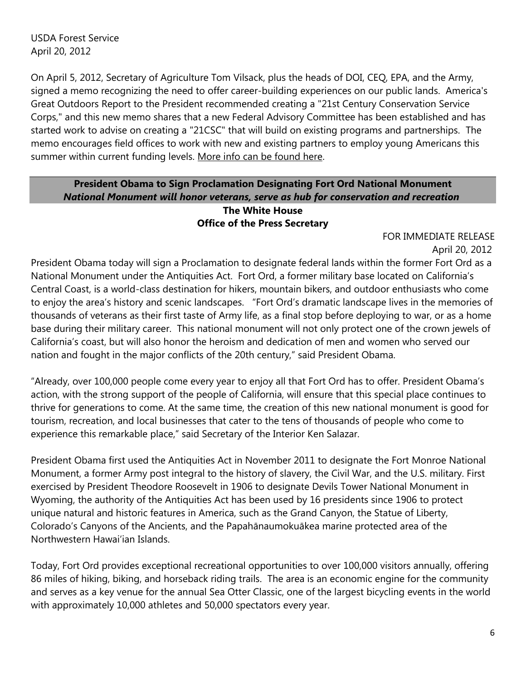USDA Forest Service April 20, 2012

On April 5, 2012, Secretary of Agriculture Tom Vilsack, plus the heads of DOI, CEQ, EPA, and the Army, signed a memo recognizing the need to offer career-building experiences on our public lands. America's Great Outdoors Report to the President recommended creating a "21st Century Conservation Service Corps," and this new memo shares that a new Federal Advisory Committee has been established and has started work to advise on creating a "21CSC" that will build on existing programs and partnerships. The memo encourages field offices to work with new and existing partners to employ young Americans this summer within current funding levels. [More info can be found here.](http://click.icptrack.com/icp/relay.php?r=103753811&msgid=705557&act=ASS3&c=491967&destination=http%3A%2F%2Fwww.doi.gov%2F21csc%2F)

### **President Obama to Sign Proclamation Designating Fort Ord National Monument** *National Monument will honor veterans, serve as hub for conservation and recreation* **The White House Office of the Press Secretary**

FOR IMMEDIATE RELEASE

April 20, 2012

President Obama today will sign a Proclamation to designate federal lands within the former Fort Ord as a National Monument under the Antiquities Act. Fort Ord, a former military base located on California's Central Coast, is a world-class destination for hikers, mountain bikers, and outdoor enthusiasts who come to enjoy the area's history and scenic landscapes. "Fort Ord's dramatic landscape lives in the memories of thousands of veterans as their first taste of Army life, as a final stop before deploying to war, or as a home base during their military career. This national monument will not only protect one of the crown jewels of California's coast, but will also honor the heroism and dedication of men and women who served our nation and fought in the major conflicts of the 20th century," said President Obama.

"Already, over 100,000 people come every year to enjoy all that Fort Ord has to offer. President Obama's action, with the strong support of the people of California, will ensure that this special place continues to thrive for generations to come. At the same time, the creation of this new national monument is good for tourism, recreation, and local businesses that cater to the tens of thousands of people who come to experience this remarkable place," said Secretary of the Interior Ken Salazar.

President Obama first used the Antiquities Act in November 2011 to designate the Fort Monroe National Monument, a former Army post integral to the history of slavery, the Civil War, and the U.S. military. First exercised by President Theodore Roosevelt in 1906 to designate Devils Tower National Monument in Wyoming, the authority of the Antiquities Act has been used by 16 presidents since 1906 to protect unique natural and historic features in America, such as the Grand Canyon, the Statue of Liberty, Colorado's Canyons of the Ancients, and the Papahānaumokuākea marine protected area of the Northwestern Hawai'ian Islands.

Today, Fort Ord provides exceptional recreational opportunities to over 100,000 visitors annually, offering 86 miles of hiking, biking, and horseback riding trails. The area is an economic engine for the community and serves as a key venue for the annual Sea Otter Classic, one of the largest bicycling events in the world with approximately 10,000 athletes and 50,000 spectators every year.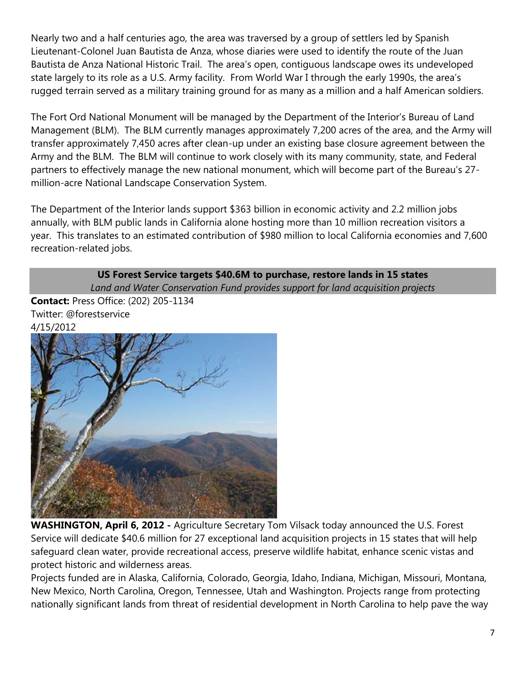Nearly two and a half centuries ago, the area was traversed by a group of settlers led by Spanish Lieutenant-Colonel Juan Bautista de Anza, whose diaries were used to identify the route of the Juan Bautista de Anza National Historic Trail. The area's open, contiguous landscape owes its undeveloped state largely to its role as a U.S. Army facility. From World War I through the early 1990s, the area's rugged terrain served as a military training ground for as many as a million and a half American soldiers.

The Fort Ord National Monument will be managed by the Department of the Interior's Bureau of Land Management (BLM). The BLM currently manages approximately 7,200 acres of the area, and the Army will transfer approximately 7,450 acres after clean-up under an existing base closure agreement between the Army and the BLM. The BLM will continue to work closely with its many community, state, and Federal partners to effectively manage the new national monument, which will become part of the Bureau's 27 million-acre National Landscape Conservation System.

The Department of the Interior lands support \$363 billion in economic activity and 2.2 million jobs annually, with BLM public lands in California alone hosting more than 10 million recreation visitors a year. This translates to an estimated contribution of \$980 million to local California economies and 7,600 recreation-related jobs.

#### **US Forest Service targets \$40.6M to purchase, restore lands in 15 states**  *Land and Water Conservation Fund provides support for land acquisition projects*

**Contact:** Press Office: (202) 205-1134 Twitter: @forestservice 4/15/2012



**WASHINGTON, April 6, 2012 -** Agriculture Secretary Tom Vilsack today announced the U.S. Forest Service will dedicate \$40.6 million for 27 exceptional land acquisition projects in 15 states that will help safeguard clean water, provide recreational access, preserve wildlife habitat, enhance scenic vistas and protect historic and wilderness areas.

Projects funded are in Alaska, California, Colorado, Georgia, Idaho, Indiana, Michigan, Missouri, Montana, New Mexico, North Carolina, Oregon, Tennessee, Utah and Washington. Projects range from protecting nationally significant lands from threat of residential development in North Carolina to help pave the way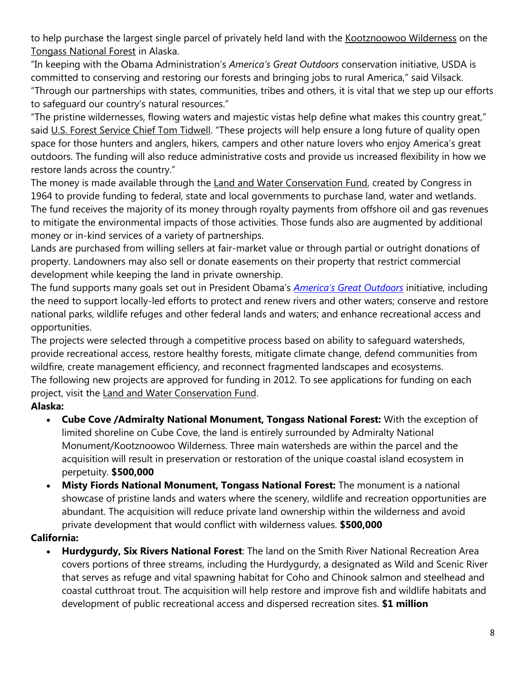to help purchase the largest single parcel of privately held land with the [Kootznoowoo Wilderness](http://www.fs.fed.us/r10/tongass/districts/admiralty/wilderness.shtml) on the [Tongass National Forest](http://www.fs.fed.us/r10/tongass/) in Alaska.

"In keeping with the Obama Administration's *America's Great Outdoors* conservation initiative, USDA is committed to conserving and restoring our forests and bringing jobs to rural America," said Vilsack. "Through our partnerships with states, communities, tribes and others, it is vital that we step up our efforts to safeguard our country's natural resources."

"The pristine wildernesses, flowing waters and majestic vistas help define what makes this country great," said [U.S. Forest Service Chief Tom Tidwell](http://www.fs.fed.us/aboutus/chief/). "These projects will help ensure a long future of quality open space for those hunters and anglers, hikers, campers and other nature lovers who enjoy America's great outdoors. The funding will also reduce administrative costs and provide us increased flexibility in how we restore lands across the country."

The money is made available through the [Land and Water Conservation Fund,](http://www.fs.fed.us/land/staff/LWCF/about.shtml) created by Congress in 1964 to provide funding to federal, state and local governments to purchase land, water and wetlands. The fund receives the majority of its money through royalty payments from offshore oil and gas revenues to mitigate the environmental impacts of those activities. Those funds also are augmented by additional money or in-kind services of a variety of partnerships.

Lands are purchased from willing sellers at fair-market value or through partial or outright donations of property. Landowners may also sell or donate easements on their property that restrict commercial development while keeping the land in private ownership.

The fund supports many goals set out in President Obama's *[America's Great Outdoors](http://americasgreatoutdoors.gov/)* initiative, including the need to support locally-led efforts to protect and renew rivers and other waters; conserve and restore national parks, wildlife refuges and other federal lands and waters; and enhance recreational access and opportunities.

The projects were selected through a competitive process based on ability to safeguard watersheds, provide recreational access, restore healthy forests, mitigate climate change, defend communities from wildfire, create management efficiency, and reconnect fragmented landscapes and ecosystems. The following new projects are approved for funding in 2012. To see applications for funding on each project, visit the [Land and Water Conservation Fund.](http://www.fs.fed.us/land/staff/LWCF/about.shtml)

# **Alaska:**

- **Cube Cove /Admiralty National Monument, Tongass National Forest:** With the exception of limited shoreline on Cube Cove, the land is entirely surrounded by Admiralty National Monument/Kootznoowoo Wilderness. Three main watersheds are within the parcel and the acquisition will result in preservation or restoration of the unique coastal island ecosystem in perpetuity. **\$500,000**
- **Misty Fiords National Monument, Tongass National Forest:** The monument is a national showcase of pristine lands and waters where the scenery, wildlife and recreation opportunities are abundant. The acquisition will reduce private land ownership within the wilderness and avoid private development that would conflict with wilderness values. **\$500,000**

# **California:**

 **Hurdygurdy, Six Rivers National Forest**: The land on the Smith River National Recreation Area covers portions of three streams, including the Hurdygurdy, a designated as Wild and Scenic River that serves as refuge and vital spawning habitat for Coho and Chinook salmon and steelhead and coastal cutthroat trout. The acquisition will help restore and improve fish and wildlife habitats and development of public recreational access and dispersed recreation sites. **\$1 million**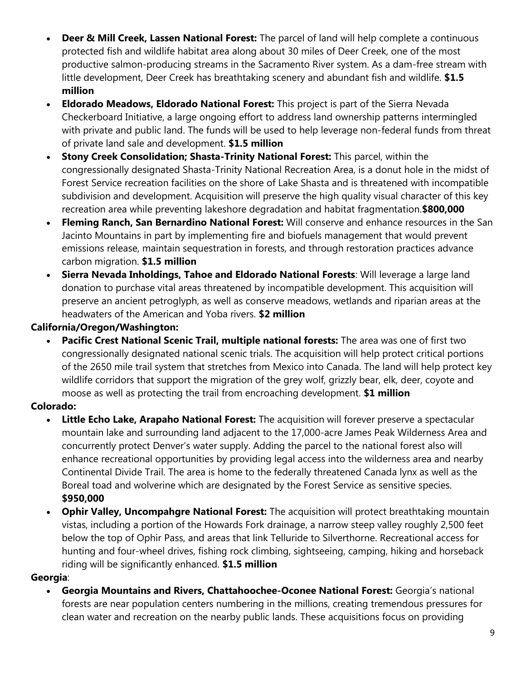- **Deer & Mill Creek, Lassen National Forest:** The parcel of land will help complete a continuous protected fish and wildlife habitat area along about 30 miles of Deer Creek, one of the most productive salmon-producing streams in the Sacramento River system. As a dam-free stream with little development, Deer Creek has breathtaking scenery and abundant fish and wildlife. **\$1.5 million**
- **Eldorado Meadows, Eldorado National Forest:** This project is part of the Sierra Nevada Checkerboard Initiative, a large ongoing effort to address land ownership patterns intermingled with private and public land. The funds will be used to help leverage non-federal funds from threat of private land sale and development. **\$1.5 million**
- **Stony Creek Consolidation; Shasta-Trinity National Forest:** This parcel, within the congressionally designated Shasta-Trinity National Recreation Area, is a donut hole in the midst of Forest Service recreation facilities on the shore of Lake Shasta and is threatened with incompatible subdivision and development. Acquisition will preserve the high quality visual character of this key recreation area while preventing lakeshore degradation and habitat fragmentation.**\$800,000**
- **Fleming Ranch, San Bernardino National Forest:** Will conserve and enhance resources in the San Jacinto Mountains in part by implementing fire and biofuels management that would prevent emissions release, maintain sequestration in forests, and through restoration practices advance carbon migration. **\$1.5 million**
- **Sierra Nevada Inholdings, Tahoe and Eldorado National Forests**: Will leverage a large land donation to purchase vital areas threatened by incompatible development. This acquisition will preserve an ancient petroglyph, as well as conserve meadows, wetlands and riparian areas at the headwaters of the American and Yoba rivers. **\$2 million**

# **California/Oregon/Washington:**

 **Pacific Crest National Scenic Trail, multiple national forests:** The area was one of first two congressionally designated national scenic trials. The acquisition will help protect critical portions of the 2650 mile trail system that stretches from Mexico into Canada. The land will help protect key wildlife corridors that support the migration of the grey wolf, grizzly bear, elk, deer, coyote and moose as well as protecting the trail from encroaching development. **\$1 million**

# **Colorado:**

- **Little Echo Lake, Arapaho National Forest:** The acquisition will forever preserve a spectacular mountain lake and surrounding land adjacent to the 17,000-acre James Peak Wilderness Area and concurrently protect Denver's water supply. Adding the parcel to the national forest also will enhance recreational opportunities by providing legal access into the wilderness area and nearby Continental Divide Trail. The area is home to the federally threatened Canada lynx as well as the Boreal toad and wolverine which are designated by the Forest Service as sensitive species. **\$950,000**
- **Ophir Valley, Uncompahgre National Forest:** The acquisition will protect breathtaking mountain vistas, including a portion of the Howards Fork drainage, a narrow steep valley roughly 2,500 feet below the top of Ophir Pass, and areas that link Telluride to Silverthorne. Recreational access for hunting and four-wheel drives, fishing rock climbing, sightseeing, camping, hiking and horseback riding will be significantly enhanced. **\$1.5 million**

## **Georgia**:

 **Georgia Mountains and Rivers, Chattahoochee-Oconee National Forest:** Georgia's national forests are near population centers numbering in the millions, creating tremendous pressures for clean water and recreation on the nearby public lands. These acquisitions focus on providing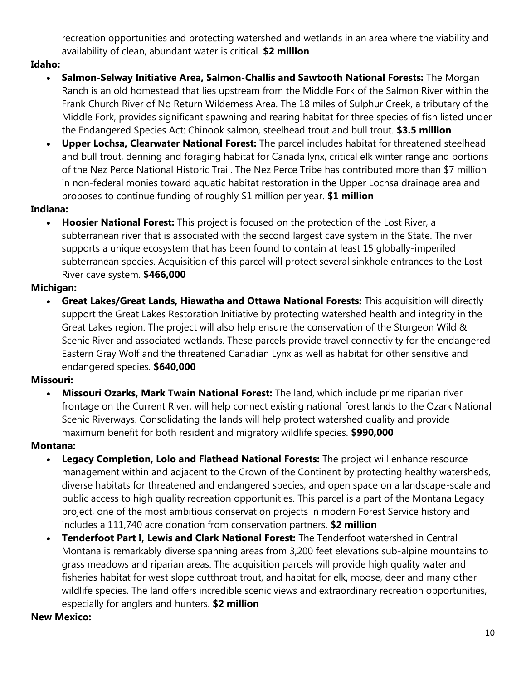recreation opportunities and protecting watershed and wetlands in an area where the viability and availability of clean, abundant water is critical. **\$2 million**

# **Idaho:**

- **Salmon-Selway Initiative Area, Salmon-Challis and Sawtooth National Forests:** The Morgan Ranch is an old homestead that lies upstream from the Middle Fork of the Salmon River within the Frank Church River of No Return Wilderness Area. The 18 miles of Sulphur Creek, a tributary of the Middle Fork, provides significant spawning and rearing habitat for three species of fish listed under the Endangered Species Act: Chinook salmon, steelhead trout and bull trout. **\$3.5 million**
- **Upper Lochsa, Clearwater National Forest:** The parcel includes habitat for threatened steelhead and bull trout, denning and foraging habitat for Canada lynx, critical elk winter range and portions of the Nez Perce National Historic Trail. The Nez Perce Tribe has contributed more than \$7 million in non-federal monies toward aquatic habitat restoration in the Upper Lochsa drainage area and proposes to continue funding of roughly \$1 million per year. **\$1 million**

### **Indiana:**

 **Hoosier National Forest:** This project is focused on the protection of the Lost River, a subterranean river that is associated with the second largest cave system in the State. The river supports a unique ecosystem that has been found to contain at least 15 globally-imperiled subterranean species. Acquisition of this parcel will protect several sinkhole entrances to the Lost River cave system. **\$466,000**

## **Michigan:**

 **Great Lakes/Great Lands, Hiawatha and Ottawa National Forests:** This acquisition will directly support the Great Lakes Restoration Initiative by protecting watershed health and integrity in the Great Lakes region. The project will also help ensure the conservation of the Sturgeon Wild & Scenic River and associated wetlands. These parcels provide travel connectivity for the endangered Eastern Gray Wolf and the threatened Canadian Lynx as well as habitat for other sensitive and endangered species. **\$640,000**

#### **Missouri:**

 **Missouri Ozarks, Mark Twain National Forest:** The land, which include prime riparian river frontage on the Current River, will help connect existing national forest lands to the Ozark National Scenic Riverways. Consolidating the lands will help protect watershed quality and provide maximum benefit for both resident and migratory wildlife species. **\$990,000** 

#### **Montana:**

- **Legacy Completion, Lolo and Flathead National Forests:** The project will enhance resource management within and adjacent to the Crown of the Continent by protecting healthy watersheds, diverse habitats for threatened and endangered species, and open space on a landscape-scale and public access to high quality recreation opportunities. This parcel is a part of the Montana Legacy project, one of the most ambitious conservation projects in modern Forest Service history and includes a 111,740 acre donation from conservation partners. **\$2 million**
- **Tenderfoot Part I, Lewis and Clark National Forest:** The Tenderfoot watershed in Central Montana is remarkably diverse spanning areas from 3,200 feet elevations sub-alpine mountains to grass meadows and riparian areas. The acquisition parcels will provide high quality water and fisheries habitat for west slope cutthroat trout, and habitat for elk, moose, deer and many other wildlife species. The land offers incredible scenic views and extraordinary recreation opportunities, especially for anglers and hunters. **\$2 million**

#### **New Mexico:**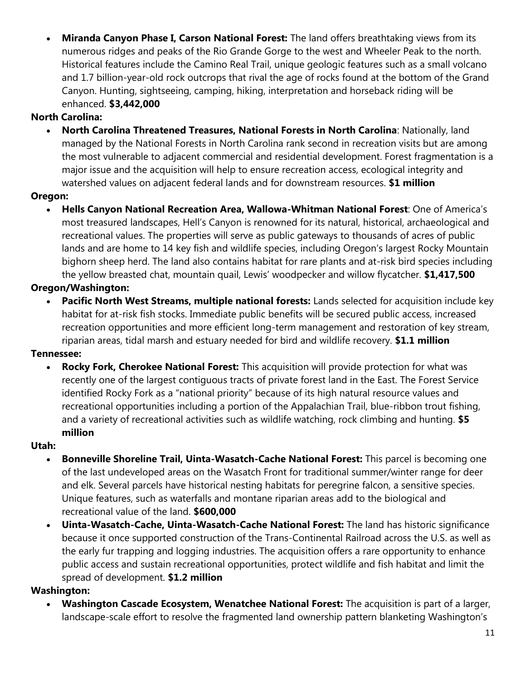**Miranda Canyon Phase I, Carson National Forest:** The land offers breathtaking views from its numerous ridges and peaks of the Rio Grande Gorge to the west and Wheeler Peak to the north. Historical features include the Camino Real Trail, unique geologic features such as a small volcano and 1.7 billion-year-old rock outcrops that rival the age of rocks found at the bottom of the Grand Canyon. Hunting, sightseeing, camping, hiking, interpretation and horseback riding will be enhanced. **\$3,442,000**

# **North Carolina:**

 **North Carolina Threatened Treasures, National Forests in North Carolina**: Nationally, land managed by the National Forests in North Carolina rank second in recreation visits but are among the most vulnerable to adjacent commercial and residential development. Forest fragmentation is a major issue and the acquisition will help to ensure recreation access, ecological integrity and watershed values on adjacent federal lands and for downstream resources. **\$1 million**

# **Oregon:**

 **Hells Canyon National Recreation Area, Wallowa-Whitman National Forest**: One of America's most treasured landscapes, Hell's Canyon is renowned for its natural, historical, archaeological and recreational values. The properties will serve as public gateways to thousands of acres of public lands and are home to 14 key fish and wildlife species, including Oregon's largest Rocky Mountain bighorn sheep herd. The land also contains habitat for rare plants and at-risk bird species including the yellow breasted chat, mountain quail, Lewis' woodpecker and willow flycatcher. **\$1,417,500**

# **Oregon/Washington:**

 **Pacific North West Streams, multiple national forests:** Lands selected for acquisition include key habitat for at-risk fish stocks. Immediate public benefits will be secured public access, increased recreation opportunities and more efficient long-term management and restoration of key stream, riparian areas, tidal marsh and estuary needed for bird and wildlife recovery. **\$1.1 million**

## **Tennessee:**

 **Rocky Fork, Cherokee National Forest:** This acquisition will provide protection for what was recently one of the largest contiguous tracts of private forest land in the East. The Forest Service identified Rocky Fork as a "national priority" because of its high natural resource values and recreational opportunities including a portion of the Appalachian Trail, blue-ribbon trout fishing, and a variety of recreational activities such as wildlife watching, rock climbing and hunting. **\$5 million** 

## **Utah:**

- **Bonneville Shoreline Trail, Uinta-Wasatch-Cache National Forest:** This parcel is becoming one of the last undeveloped areas on the Wasatch Front for traditional summer/winter range for deer and elk. Several parcels have historical nesting habitats for peregrine falcon, a sensitive species. Unique features, such as waterfalls and montane riparian areas add to the biological and recreational value of the land. **\$600,000**
- **Uinta-Wasatch-Cache, Uinta-Wasatch-Cache National Forest:** The land has historic significance because it once supported construction of the Trans-Continental Railroad across the U.S. as well as the early fur trapping and logging industries. The acquisition offers a rare opportunity to enhance public access and sustain recreational opportunities, protect wildlife and fish habitat and limit the spread of development. **\$1.2 million**

## **Washington:**

 **Washington Cascade Ecosystem, Wenatchee National Forest:** The acquisition is part of a larger, landscape-scale effort to resolve the fragmented land ownership pattern blanketing Washington's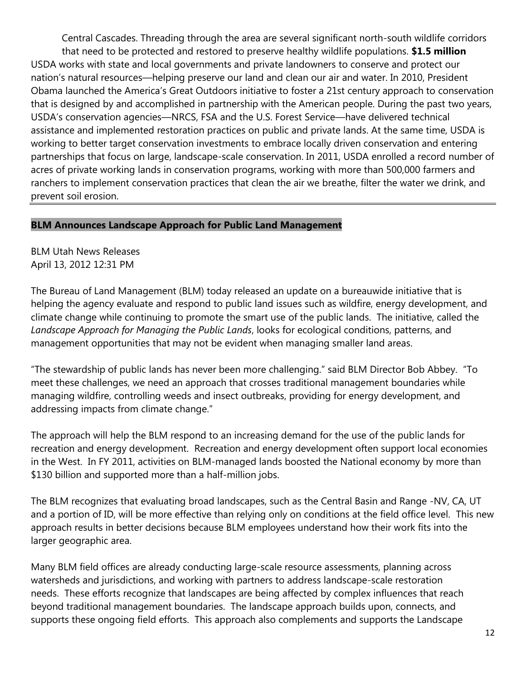Central Cascades. Threading through the area are several significant north-south wildlife corridors that need to be protected and restored to preserve healthy wildlife populations. **\$1.5 million** USDA works with state and local governments and private landowners to conserve and protect our nation's natural resources—helping preserve our land and clean our air and water. In 2010, President Obama launched the America's Great Outdoors initiative to foster a 21st century approach to conservation that is designed by and accomplished in partnership with the American people. During the past two years, USDA's conservation agencies—NRCS, FSA and the U.S. Forest Service—have delivered technical assistance and implemented restoration practices on public and private lands. At the same time, USDA is working to better target conservation investments to embrace locally driven conservation and entering partnerships that focus on large, landscape-scale conservation. In 2011, USDA enrolled a record number of acres of private working lands in conservation programs, working with more than 500,000 farmers and ranchers to implement conservation practices that clean the air we breathe, filter the water we drink, and prevent soil erosion.

### **BLM Announces Landscape Approach for Public Land Management**

BLM Utah News Releases April 13, 2012 12:31 PM

The Bureau of Land Management (BLM) today released an update on a bureauwide initiative that is helping the agency evaluate and respond to public land issues such as wildfire, energy development, and climate change while continuing to promote the smart use of the public lands. The initiative, called the *Landscape Approach for Managing the Public Lands*, looks for ecological conditions, patterns, and management opportunities that may not be evident when managing smaller land areas.

"The stewardship of public lands has never been more challenging." said BLM Director Bob Abbey. "To meet these challenges, we need an approach that crosses traditional management boundaries while managing wildfire, controlling weeds and insect outbreaks, providing for energy development, and addressing impacts from climate change."

The approach will help the BLM respond to an increasing demand for the use of the public lands for recreation and energy development. Recreation and energy development often support local economies in the West. In FY 2011, activities on BLM-managed lands boosted the National economy by more than \$130 billion and supported more than a half-million jobs.

The BLM recognizes that evaluating broad landscapes, such as the Central Basin and Range -NV, CA, UT and a portion of ID, will be more effective than relying only on conditions at the field office level. This new approach results in better decisions because BLM employees understand how their work fits into the larger geographic area.

Many BLM field offices are already conducting large-scale resource assessments, planning across watersheds and jurisdictions, and working with partners to address landscape-scale restoration needs. These efforts recognize that landscapes are being affected by complex influences that reach beyond traditional management boundaries. The landscape approach builds upon, connects, and supports these ongoing field efforts. This approach also complements and supports the Landscape